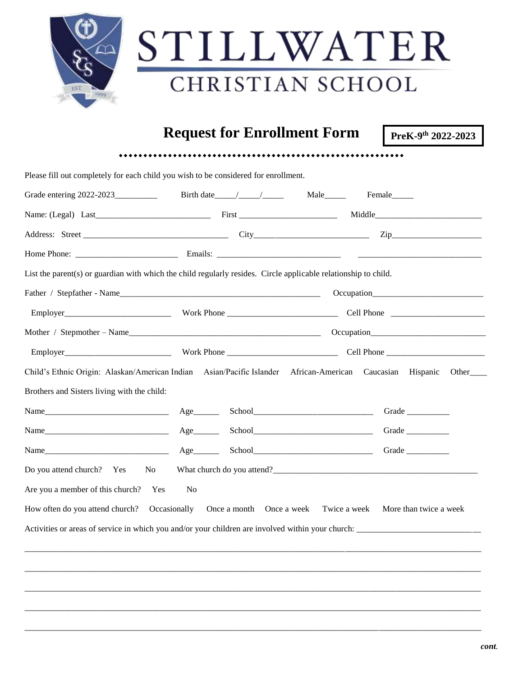|  | STILLWATER                         |                    |  |  |  |  |
|--|------------------------------------|--------------------|--|--|--|--|
|  | CHRISTIAN SCHOOL                   |                    |  |  |  |  |
|  | <b>Request for Enrollment Form</b> | PreK-9th 2022-2023 |  |  |  |  |

|                                                                      | List the parent(s) or guardian with which the child regularly resides. Circle applicable relationship to child. |                                                                                                                          |
|----------------------------------------------------------------------|-----------------------------------------------------------------------------------------------------------------|--------------------------------------------------------------------------------------------------------------------------|
|                                                                      | Father / Stepfather - Name                                                                                      |                                                                                                                          |
|                                                                      |                                                                                                                 |                                                                                                                          |
|                                                                      |                                                                                                                 |                                                                                                                          |
|                                                                      |                                                                                                                 |                                                                                                                          |
|                                                                      |                                                                                                                 |                                                                                                                          |
|                                                                      |                                                                                                                 |                                                                                                                          |
|                                                                      |                                                                                                                 |                                                                                                                          |
|                                                                      | $Age$ <sub>_________</sub>                                                                                      | Grade                                                                                                                    |
|                                                                      | $Age$ <sub>_________</sub>                                                                                      | Grade                                                                                                                    |
| Brothers and Sisters living with the child:                          |                                                                                                                 | Child's Ethnic Origin: Alaskan/American Indian Asian/Pacific Islander African-American Caucasian Hispanic Other<br>Grade |
|                                                                      |                                                                                                                 |                                                                                                                          |
| Do you attend church? Yes No<br>Are you a member of this church? Yes | No                                                                                                              |                                                                                                                          |

\_\_\_\_\_\_\_\_\_\_\_\_\_\_\_\_\_\_\_\_\_\_\_\_\_\_\_\_\_\_\_\_\_\_\_\_\_\_\_\_\_\_\_\_\_\_\_\_\_\_\_\_\_\_\_\_\_\_\_\_\_\_\_\_\_\_\_\_\_\_\_\_\_\_\_\_\_\_\_\_\_\_\_\_\_\_\_\_\_\_\_\_\_\_\_\_\_\_\_\_\_\_\_\_\_\_\_

\_\_\_\_\_\_\_\_\_\_\_\_\_\_\_\_\_\_\_\_\_\_\_\_\_\_\_\_\_\_\_\_\_\_\_\_\_\_\_\_\_\_\_\_\_\_\_\_\_\_\_\_\_\_\_\_\_\_\_\_\_\_\_\_\_\_\_\_\_\_\_\_\_\_\_\_\_\_\_\_\_\_\_\_\_\_\_\_\_\_\_\_\_\_\_\_\_\_\_\_\_\_\_\_\_\_\_

\_\_\_\_\_\_\_\_\_\_\_\_\_\_\_\_\_\_\_\_\_\_\_\_\_\_\_\_\_\_\_\_\_\_\_\_\_\_\_\_\_\_\_\_\_\_\_\_\_\_\_\_\_\_\_\_\_\_\_\_\_\_\_\_\_\_\_\_\_\_\_\_\_\_\_\_\_\_\_\_\_\_\_\_\_\_\_\_\_\_\_\_\_\_\_\_\_\_\_\_\_\_\_\_\_\_\_

\_\_\_\_\_\_\_\_\_\_\_\_\_\_\_\_\_\_\_\_\_\_\_\_\_\_\_\_\_\_\_\_\_\_\_\_\_\_\_\_\_\_\_\_\_\_\_\_\_\_\_\_\_\_\_\_\_\_\_\_\_\_\_\_\_\_\_\_\_\_\_\_\_\_\_\_\_\_\_\_\_\_\_\_\_\_\_\_\_\_\_\_\_\_\_\_\_\_\_\_\_\_\_\_\_\_\_

\_\_\_\_\_\_\_\_\_\_\_\_\_\_\_\_\_\_\_\_\_\_\_\_\_\_\_\_\_\_\_\_\_\_\_\_\_\_\_\_\_\_\_\_\_\_\_\_\_\_\_\_\_\_\_\_\_\_\_\_\_\_\_\_\_\_\_\_\_\_\_\_\_\_\_\_\_\_\_\_\_\_\_\_\_\_\_\_\_\_\_\_\_\_\_\_\_\_\_\_\_\_\_\_\_\_\_